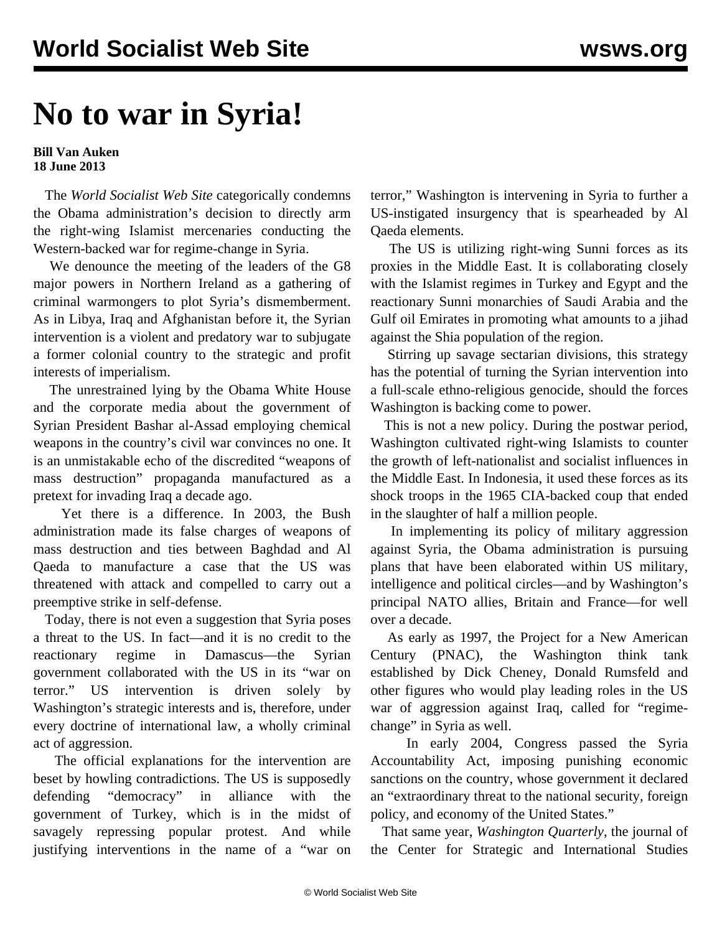## **No to war in Syria!**

## **Bill Van Auken 18 June 2013**

 The *World Socialist Web Site* categorically condemns the Obama administration's decision to directly arm the right-wing Islamist mercenaries conducting the Western-backed war for regime-change in Syria.

 We denounce the meeting of the leaders of the G8 major powers in Northern Ireland as a gathering of criminal warmongers to plot Syria's dismemberment. As in Libya, Iraq and Afghanistan before it, the Syrian intervention is a violent and predatory war to subjugate a former colonial country to the strategic and profit interests of imperialism.

 The unrestrained lying by the Obama White House and the corporate media about the government of Syrian President Bashar al-Assad employing chemical weapons in the country's civil war convinces no one. It is an unmistakable echo of the discredited "weapons of mass destruction" propaganda manufactured as a pretext for invading Iraq a decade ago.

 Yet there is a difference. In 2003, the Bush administration made its false charges of weapons of mass destruction and ties between Baghdad and Al Qaeda to manufacture a case that the US was threatened with attack and compelled to carry out a preemptive strike in self-defense.

 Today, there is not even a suggestion that Syria poses a threat to the US. In fact—and it is no credit to the reactionary regime in Damascus—the Syrian government collaborated with the US in its "war on terror." US intervention is driven solely by Washington's strategic interests and is, therefore, under every doctrine of international law, a wholly criminal act of aggression.

 The official explanations for the intervention are beset by howling contradictions. The US is supposedly defending "democracy" in alliance with the government of Turkey, which is in the midst of savagely repressing popular protest. And while justifying interventions in the name of a "war on terror," Washington is intervening in Syria to further a US-instigated insurgency that is spearheaded by Al Qaeda elements.

 The US is utilizing right-wing Sunni forces as its proxies in the Middle East. It is collaborating closely with the Islamist regimes in Turkey and Egypt and the reactionary Sunni monarchies of Saudi Arabia and the Gulf oil Emirates in promoting what amounts to a jihad against the Shia population of the region.

 Stirring up savage sectarian divisions, this strategy has the potential of turning the Syrian intervention into a full-scale ethno-religious genocide, should the forces Washington is backing come to power.

 This is not a new policy. During the postwar period, Washington cultivated right-wing Islamists to counter the growth of left-nationalist and socialist influences in the Middle East. In Indonesia, it used these forces as its shock troops in the 1965 CIA-backed coup that ended in the slaughter of half a million people.

 In implementing its policy of military aggression against Syria, the Obama administration is pursuing plans that have been elaborated within US military, intelligence and political circles—and by Washington's principal NATO allies, Britain and France—for well over a decade.

 As early as 1997, the Project for a New American Century (PNAC), the Washington think tank established by Dick Cheney, Donald Rumsfeld and other figures who would play leading roles in the US war of aggression against Iraq, called for "regimechange" in Syria as well.

 In early 2004, Congress passed the Syria Accountability Act, imposing punishing economic sanctions on the country, whose government it declared an "extraordinary threat to the national security, foreign policy, and economy of the United States."

 That same year, *Washington Quarterly*, the journal of the Center for Strategic and International Studies